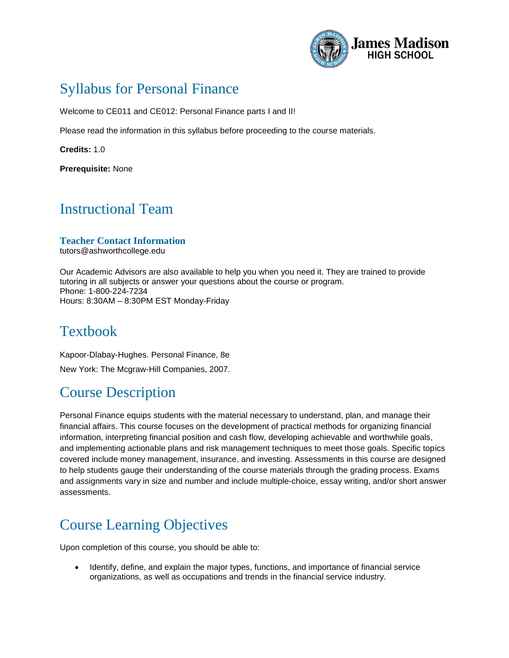

# Syllabus for Personal Finance

Welcome to CE011 and CE012: Personal Finance parts I and II!

Please read the information in this syllabus before proceeding to the course materials.

**Credits:** 1.0

**Prerequisite:** None

### Instructional Team

#### **Teacher Contact Information**  tutors@ashworthcollege.edu

Our Academic Advisors are also available to help you when you need it. They are trained to provide tutoring in all subjects or answer your questions about the course or program. Phone: 1-800-224-7234 Hours: 8:30AM – 8:30PM EST Monday-Friday

#### Textbook

Kapoor-Dlabay-Hughes. Personal Finance, 8e New York: The Mcgraw-Hill Companies, 2007.

## Course Description

Personal Finance equips students with the material necessary to understand, plan, and manage their financial affairs. This course focuses on the development of practical methods for organizing financial information, interpreting financial position and cash flow, developing achievable and worthwhile goals, and implementing actionable plans and risk management techniques to meet those goals. Specific topics covered include money management, insurance, and investing. Assessments in this course are designed to help students gauge their understanding of the course materials through the grading process. Exams and assignments vary in size and number and include multiple-choice, essay writing, and/or short answer assessments.

# Course Learning Objectives

Upon completion of this course, you should be able to:

 Identify, define, and explain the major types, functions, and importance of financial service organizations, as well as occupations and trends in the financial service industry.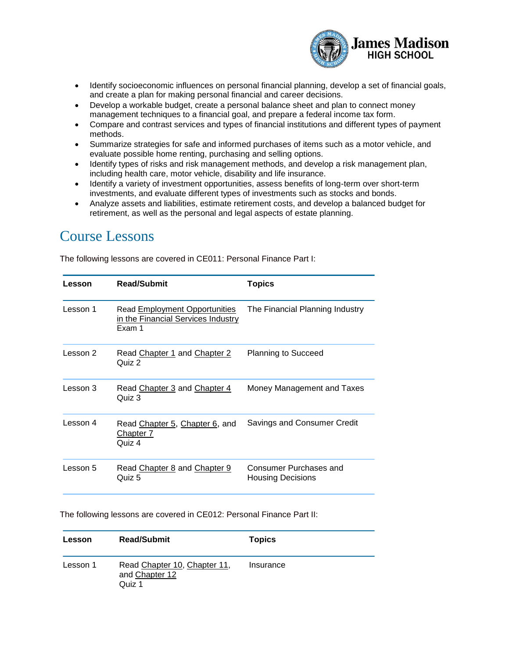

- Identify socioeconomic influences on personal financial planning, develop a set of financial goals, and create a plan for making personal financial and career decisions.
- Develop a workable budget, create a personal balance sheet and plan to connect money management techniques to a financial goal, and prepare a federal income tax form.
- Compare and contrast services and types of financial institutions and different types of payment methods.
- Summarize strategies for safe and informed purchases of items such as a motor vehicle, and evaluate possible home renting, purchasing and selling options.
- Identify types of risks and risk management methods, and develop a risk management plan, including health care, motor vehicle, disability and life insurance.
- Identify a variety of investment opportunities, assess benefits of long-term over short-term investments, and evaluate different types of investments such as stocks and bonds.
- Analyze assets and liabilities, estimate retirement costs, and develop a balanced budget for retirement, as well as the personal and legal aspects of estate planning.

#### Course Lessons

The following lessons are covered in CE011: Personal Finance Part I:

| Lesson   | <b>Read/Submit</b>                                                            | <b>Topics</b>                                      |
|----------|-------------------------------------------------------------------------------|----------------------------------------------------|
| Lesson 1 | Read Employment Opportunities<br>in the Financial Services Industry<br>Exam 1 | The Financial Planning Industry                    |
| Lesson 2 | Read Chapter 1 and Chapter 2<br>Quiz 2                                        | <b>Planning to Succeed</b>                         |
| Lesson 3 | Read Chapter 3 and Chapter 4<br>Quiz 3                                        | Money Management and Taxes                         |
| Lesson 4 | Read Chapter 5, Chapter 6, and<br>Chapter 7<br>Quiz 4                         | Savings and Consumer Credit                        |
| Lesson 5 | Read Chapter 8 and Chapter 9<br>Quiz 5                                        | Consumer Purchases and<br><b>Housing Decisions</b> |

The following lessons are covered in CE012: Personal Finance Part II:

| Lesson   | <b>Read/Submit</b>                                       | <b>Topics</b> |
|----------|----------------------------------------------------------|---------------|
| Lesson 1 | Read Chapter 10, Chapter 11,<br>and Chapter 12<br>Quiz 1 | Insurance     |